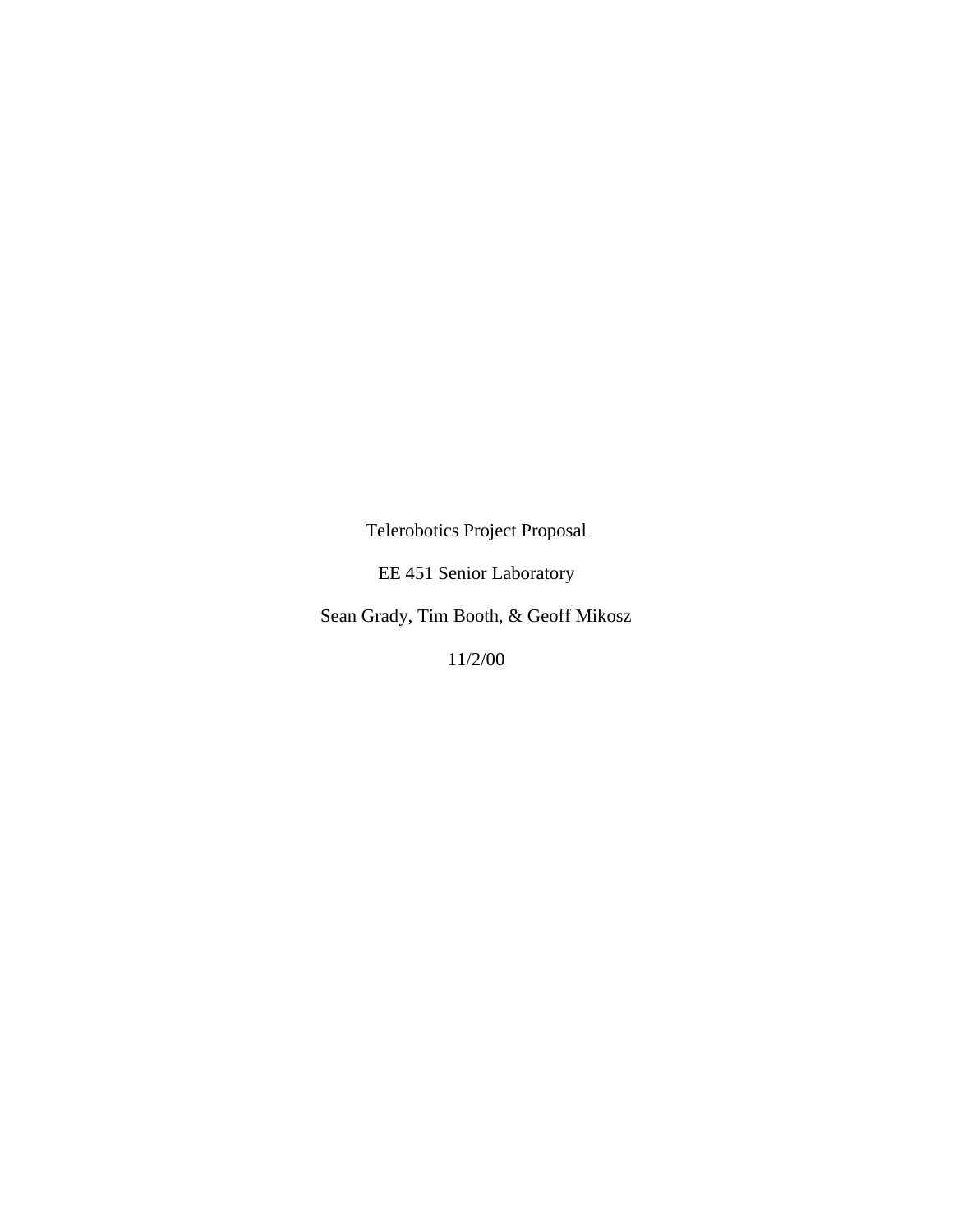Telerobotics Project Proposal

EE 451 Senior Laboratory

Sean Grady, Tim Booth, & Geoff Mikosz

11/2/00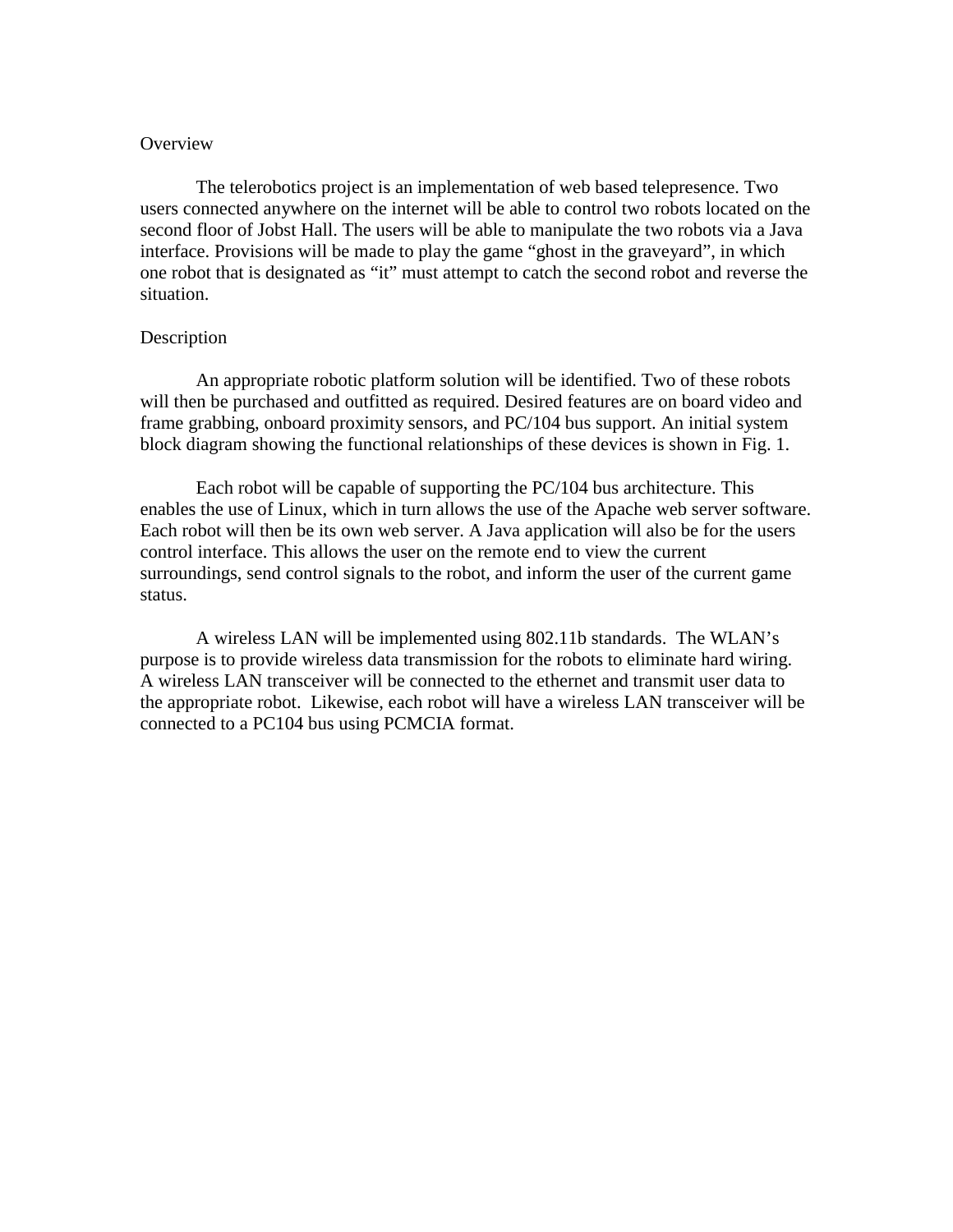## **Overview**

The telerobotics project is an implementation of web based telepresence. Two users connected anywhere on the internet will be able to control two robots located on the second floor of Jobst Hall. The users will be able to manipulate the two robots via a Java interface. Provisions will be made to play the game "ghost in the graveyard", in which one robot that is designated as "it" must attempt to catch the second robot and reverse the situation.

## **Description**

An appropriate robotic platform solution will be identified. Two of these robots will then be purchased and outfitted as required. Desired features are on board video and frame grabbing, onboard proximity sensors, and PC/104 bus support. An initial system block diagram showing the functional relationships of these devices is shown in Fig. 1.

Each robot will be capable of supporting the PC/104 bus architecture. This enables the use of Linux, which in turn allows the use of the Apache web server software. Each robot will then be its own web server. A Java application will also be for the users control interface. This allows the user on the remote end to view the current surroundings, send control signals to the robot, and inform the user of the current game status.

A wireless LAN will be implemented using 802.11b standards. The WLAN's purpose is to provide wireless data transmission for the robots to eliminate hard wiring. A wireless LAN transceiver will be connected to the ethernet and transmit user data to the appropriate robot. Likewise, each robot will have a wireless LAN transceiver will be connected to a PC104 bus using PCMCIA format.